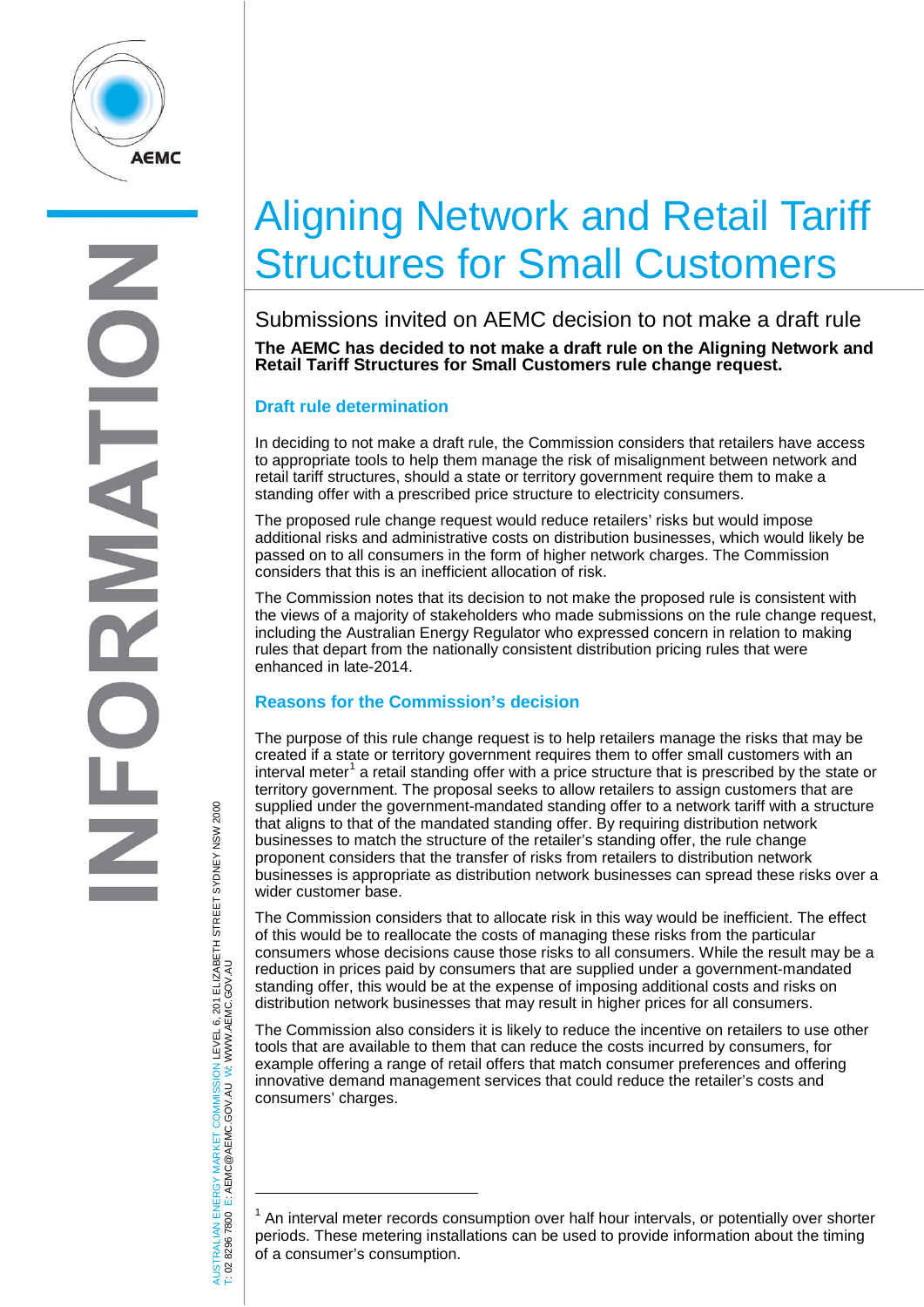

# Aligning Network and Retail Tariff Structures for Small Customers

Submissions invited on AEMC decision to not make a draft rule **The AEMC has decided to not make a draft rule on the Aligning Network and Retail Tariff Structures for Small Customers rule change request.** 

## **Draft rule determination**

 $\overline{a}$ 

T: 02 8296 7800 E: AEMC@AEMC.GOV.AU

AUSTRALIAN ENERGY MARKET COMMISSION LEVEL 6, 201 ELIZABETH STREET SYDNEY NSW 2000

ISTRALIAN ENERGY MARKET COMMISSION LEVEL 6, 201 ELIZABETH STREET SYDNEY NSW 2000<br>02 8296 7800 E: AEMC@AEMC.GOV.AU W: WWW.AEMC.GOV.AU

W: WWW.AEMC.GOV.AU

In deciding to not make a draft rule, the Commission considers that retailers have access to appropriate tools to help them manage the risk of misalignment between network and retail tariff structures, should a state or territory government require them to make a standing offer with a prescribed price structure to electricity consumers.

The proposed rule change request would reduce retailers' risks but would impose additional risks and administrative costs on distribution businesses, which would likely be passed on to all consumers in the form of higher network charges. The Commission considers that this is an inefficient allocation of risk.

The Commission notes that its decision to not make the proposed rule is consistent with the views of a majority of stakeholders who made submissions on the rule change request, including the Australian Energy Regulator who expressed concern in relation to making rules that depart from the nationally consistent distribution pricing rules that were enhanced in late-2014.

## **Reasons for the Commission's decision**

The purpose of this rule change request is to help retailers manage the risks that may be created if a state or territory government requires them to offer small customers with an interval meter<sup>[1](#page-0-0)</sup> a retail standing offer with a price structure that is prescribed by the state or territory government. The proposal seeks to allow retailers to assign customers that are supplied under the government-mandated standing offer to a network tariff with a structure that aligns to that of the mandated standing offer. By requiring distribution network businesses to match the structure of the retailer's standing offer, the rule change proponent considers that the transfer of risks from retailers to distribution network businesses is appropriate as distribution network businesses can spread these risks over a wider customer base.

The Commission considers that to allocate risk in this way would be inefficient. The effect of this would be to reallocate the costs of managing these risks from the particular consumers whose decisions cause those risks to all consumers. While the result may be a reduction in prices paid by consumers that are supplied under a government-mandated standing offer, this would be at the expense of imposing additional costs and risks on distribution network businesses that may result in higher prices for all consumers.

The Commission also considers it is likely to reduce the incentive on retailers to use other tools that are available to them that can reduce the costs incurred by consumers, for example offering a range of retail offers that match consumer preferences and offering innovative demand management services that could reduce the retailer's costs and consumers' charges.

<span id="page-0-0"></span> $1$  An interval meter records consumption over half hour intervals, or potentially over shorter periods. These metering installations can be used to provide information about the timing of a consumer's consumption.